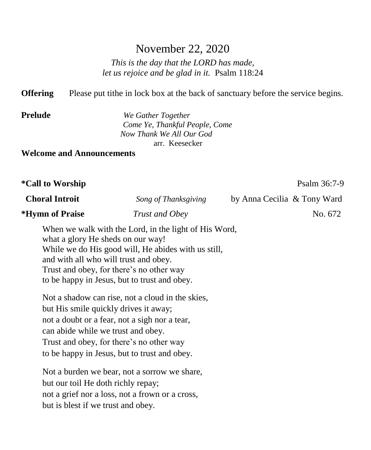# November 22, 2020

*This is the day that the LORD has made, let us rejoice and be glad in it.* Psalm 118:24

**Offering** Please put tithe in lock box at the back of sanctuary before the service begins.

**Prelude** *We Gather Together Come Ye, Thankful People, Come Now Thank We All Our God* arr. Keesecker

### **Welcome and Announcements**

| <i><b>*Call to Worship</b></i>                                             |                                                                                                                                                                                                          |                             | Psalm 36:7-9 |  |
|----------------------------------------------------------------------------|----------------------------------------------------------------------------------------------------------------------------------------------------------------------------------------------------------|-----------------------------|--------------|--|
| <b>Choral Introit</b>                                                      | Song of Thanksgiving                                                                                                                                                                                     | by Anna Cecilia & Tony Ward |              |  |
| <i><b>*Hymn of Praise</b></i>                                              | Trust and Obey                                                                                                                                                                                           |                             | No. 672      |  |
| what a glory He sheds on our way!<br>and with all who will trust and obey. | When we walk with the Lord, in the light of His Word,<br>While we do His good will, He abides with us still,<br>Trust and obey, for there's no other way<br>to be happy in Jesus, but to trust and obey. |                             |              |  |
|                                                                            | Not a shadow can rise, not a cloud in the skies,                                                                                                                                                         |                             |              |  |
| but His smile quickly drives it away;                                      |                                                                                                                                                                                                          |                             |              |  |
|                                                                            | not a doubt or a fear, not a sigh nor a tear,                                                                                                                                                            |                             |              |  |
| can abide while we trust and obey.                                         |                                                                                                                                                                                                          |                             |              |  |
|                                                                            | Trust and obey, for there's no other way                                                                                                                                                                 |                             |              |  |
|                                                                            | to be happy in Jesus, but to trust and obey.                                                                                                                                                             |                             |              |  |

Not a burden we bear, not a sorrow we share, but our toil He doth richly repay; not a grief nor a loss, not a frown or a cross, but is blest if we trust and obey.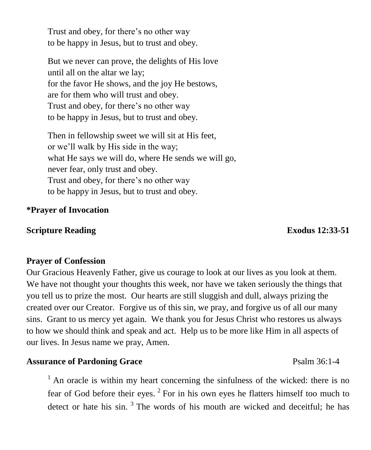Trust and obey, for there's no other way to be happy in Jesus, but to trust and obey.

But we never can prove, the delights of His love until all on the altar we lay; for the favor He shows, and the joy He bestows, are for them who will trust and obey. Trust and obey, for there's no other way to be happy in Jesus, but to trust and obey.

Then in fellowship sweet we will sit at His feet, or we'll walk by His side in the way; what He says we will do, where He sends we will go, never fear, only trust and obey. Trust and obey, for there's no other way to be happy in Jesus, but to trust and obey.

## **\*Prayer of Invocation**

### **Scripture Reading Exodus 12:33-51**

### **Prayer of Confession**

Our Gracious Heavenly Father, give us courage to look at our lives as you look at them. We have not thought your thoughts this week, nor have we taken seriously the things that you tell us to prize the most. Our hearts are still sluggish and dull, always prizing the created over our Creator. Forgive us of this sin, we pray, and forgive us of all our many sins. Grant to us mercy yet again. We thank you for Jesus Christ who restores us always to how we should think and speak and act. Help us to be more like Him in all aspects of our lives. In Jesus name we pray, Amen.

## **Assurance of Pardoning Grace**  Psalm 36:1-4

 $<sup>1</sup>$  An oracle is within my heart concerning the sinfulness of the wicked: there is no</sup> fear of God before their eyes.  $2$  For in his own eyes he flatters himself too much to detect or hate his  $sin<sup>3</sup>$ . The words of his mouth are wicked and deceitful; he has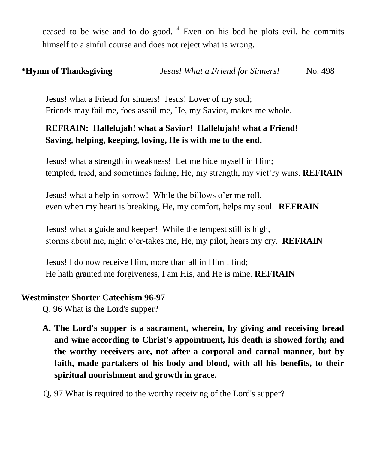ceased to be wise and to do good.  $4$  Even on his bed he plots evil, he commits himself to a sinful course and does not reject what is wrong.

# **\*Hymn of Thanksgiving** *Jesus! What a Friend for Sinners!* No. 498

 Jesus! what a Friend for sinners! Jesus! Lover of my soul; Friends may fail me, foes assail me, He, my Savior, makes me whole.

# **REFRAIN: Hallelujah! what a Savior! Hallelujah! what a Friend! Saving, helping, keeping, loving, He is with me to the end.**

 Jesus! what a strength in weakness! Let me hide myself in Him; tempted, tried, and sometimes failing, He, my strength, my vict'ry wins. **REFRAIN**

 Jesus! what a help in sorrow! While the billows o'er me roll, even when my heart is breaking, He, my comfort, helps my soul. **REFRAIN**

 Jesus! what a guide and keeper! While the tempest still is high, storms about me, night o'er-takes me, He, my pilot, hears my cry. **REFRAIN**

 Jesus! I do now receive Him, more than all in Him I find; He hath granted me forgiveness, I am His, and He is mine. **REFRAIN**

### **Westminster Shorter Catechism 96-97**

Q. 96 What is the Lord's supper?

- **A. The Lord's supper is a sacrament, wherein, by giving and receiving bread and wine according to Christ's appointment, his death is showed forth; and the worthy receivers are, not after a corporal and carnal manner, but by faith, made partakers of his body and blood, with all his benefits, to their spiritual nourishment and growth in grace.**
- Q. 97 What is required to the worthy receiving of the Lord's supper?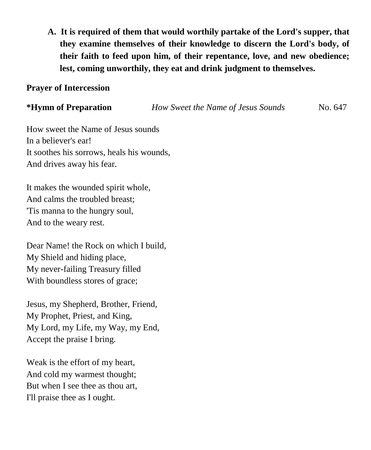**A. It is required of them that would worthily partake of the Lord's supper, that they examine themselves of their knowledge to discern the Lord's body, of their faith to feed upon him, of their repentance, love, and new obedience; lest, coming unworthily, they eat and drink judgment to themselves.**

## **Prayer of Intercession**

**\*Hymn of Preparation** *How Sweet the Name of Jesus Sounds* No. 647

How sweet the Name of Jesus sounds In a believer's ear! It soothes his sorrows, heals his wounds, And drives away his fear.

It makes the wounded spirit whole, And calms the troubled breast; 'Tis manna to the hungry soul, And to the weary rest.

Dear Name! the Rock on which I build, My Shield and hiding place, My never-failing Treasury filled With boundless stores of grace;

Jesus, my Shepherd, Brother, Friend, My Prophet, Priest, and King, My Lord, my Life, my Way, my End, Accept the praise I bring.

Weak is the effort of my heart, And cold my warmest thought; But when I see thee as thou art, I'll praise thee as I ought.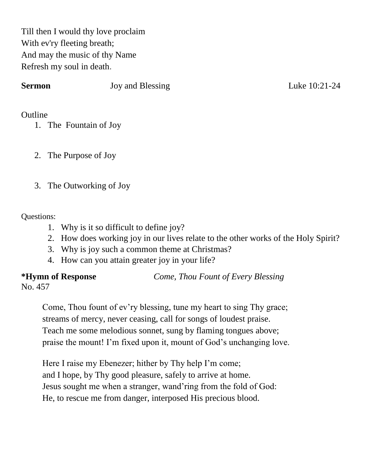Till then I would thy love proclaim With ev'ry fleeting breath; And may the music of thy Name Refresh my soul in death.

**Sermon** Joy and Blessing Luke 10:21-24

# **Outline**

- 1. The Fountain of Joy
- 2. The Purpose of Joy
- 3. The Outworking of Joy

## Questions:

- 1. Why is it so difficult to define joy?
- 2. How does working joy in our lives relate to the other works of the Holy Spirit?
- 3. Why is joy such a common theme at Christmas?
- 4. How can you attain greater joy in your life?

**\*Hymn of Response** *Come, Thou Fount of Every Blessing*

No. 457

Come, Thou fount of ev'ry blessing, tune my heart to sing Thy grace; streams of mercy, never ceasing, call for songs of loudest praise. Teach me some melodious sonnet, sung by flaming tongues above; praise the mount! I'm fixed upon it, mount of God's unchanging love.

Here I raise my Ebenezer; hither by Thy help I'm come; and I hope, by Thy good pleasure, safely to arrive at home. Jesus sought me when a stranger, wand'ring from the fold of God: He, to rescue me from danger, interposed His precious blood.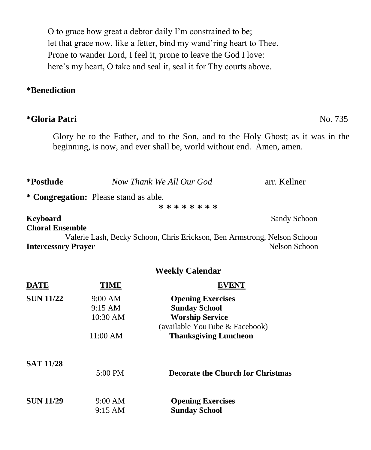O to grace how great a debtor daily I'm constrained to be; let that grace now, like a fetter, bind my wand'ring heart to Thee. Prone to wander Lord, I feel it, prone to leave the God I love: here's my heart, O take and seal it, seal it for Thy courts above.

# **\*Benediction**

## **\*Gloria Patri** No. 735

Glory be to the Father, and to the Son, and to the Holy Ghost; as it was in the beginning, is now, and ever shall be, world without end. Amen, amen.

| *Postlude              | Now Thank We All Our God                                                 | arr. Kellner |  |
|------------------------|--------------------------------------------------------------------------|--------------|--|
|                        | * Congregation: Please stand as able.                                    |              |  |
|                        | * * * * * * * *                                                          |              |  |
| Keyboard               |                                                                          | Sandy Schoon |  |
| <b>Choral Ensemble</b> |                                                                          |              |  |
|                        | Valerie Lash, Becky Schoon, Chris Erickson, Ben Armstrong, Nelson Schoon |              |  |

**Intercessory Prayer** Nelson Schoon

### **Weekly Calendar**

| <b>DATE</b>      | TIME              | <b>EVENT</b>                             |
|------------------|-------------------|------------------------------------------|
| <b>SUN 11/22</b> | 9:00 AM           | <b>Opening Exercises</b>                 |
|                  | $9:15 \text{ AM}$ | <b>Sunday School</b>                     |
|                  | 10:30 AM          | <b>Worship Service</b>                   |
|                  |                   | (available YouTube & Facebook)           |
|                  | 11:00 AM          | <b>Thanksgiving Luncheon</b>             |
| <b>SAT 11/28</b> | $5:00 \text{ PM}$ | <b>Decorate the Church for Christmas</b> |
|                  |                   |                                          |
| <b>SUN 11/29</b> | 9:00 AM           | <b>Opening Exercises</b>                 |
|                  | $9:15 \text{ AM}$ | <b>Sunday School</b>                     |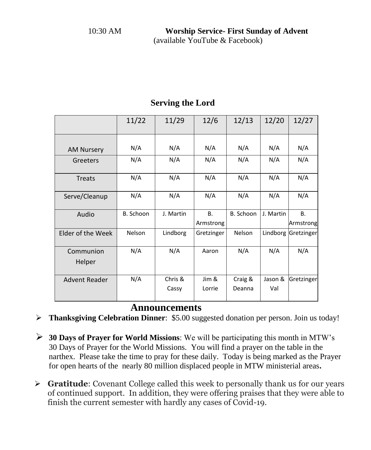|                   | 11/22     | 11/29     | 12/6       | 12/13         | 12/20     | 12/27               |
|-------------------|-----------|-----------|------------|---------------|-----------|---------------------|
|                   |           |           |            |               |           |                     |
| <b>AM Nursery</b> | N/A       | N/A       | N/A        | N/A           | N/A       | N/A                 |
| Greeters          | N/A       | N/A       | N/A        | N/A           | N/A       | N/A                 |
| <b>Treats</b>     | N/A       | N/A       | N/A        | N/A           | N/A       | N/A                 |
| Serve/Cleanup     | N/A       | N/A       | N/A        | N/A           | N/A       | N/A                 |
| Audio             | B. Schoon | J. Martin | <b>B.</b>  | B. Schoon     | J. Martin | <b>B.</b>           |
|                   |           |           | Armstrong  |               |           | Armstrong           |
| Elder of the Week | Nelson    | Lindborg  | Gretzinger | <b>Nelson</b> |           | Lindborg Gretzinger |
| Communion         | N/A       | N/A       | Aaron      | N/A           | N/A       | N/A                 |
| Helper            |           |           |            |               |           |                     |
| Advent Reader     | N/A       | Chris &   | Jim &      | Craig &       | Jason &   | Gretzinger          |
|                   |           | Cassy     | Lorrie     | Deanna        | Val       |                     |

# **Serving the Lord**

# **Announcements**

**Thanksgiving Celebration Dinner**: \$5.00 suggested donation per person. Join us today!

- **30 Days of Prayer for World Missions**: We will be participating this month in MTW's 30 Days of Prayer for the World Missions. You will find a prayer on the table in the narthex. Please take the time to pray for these daily. Today is being marked as the Prayer for open hearts of the nearly 80 million displaced people in MTW ministerial areas**.**
- **Gratitude**: Covenant College called this week to personally thank us for our years of continued support. In addition, they were offering praises that they were able to finish the current semester with hardly any cases of Covid-19.